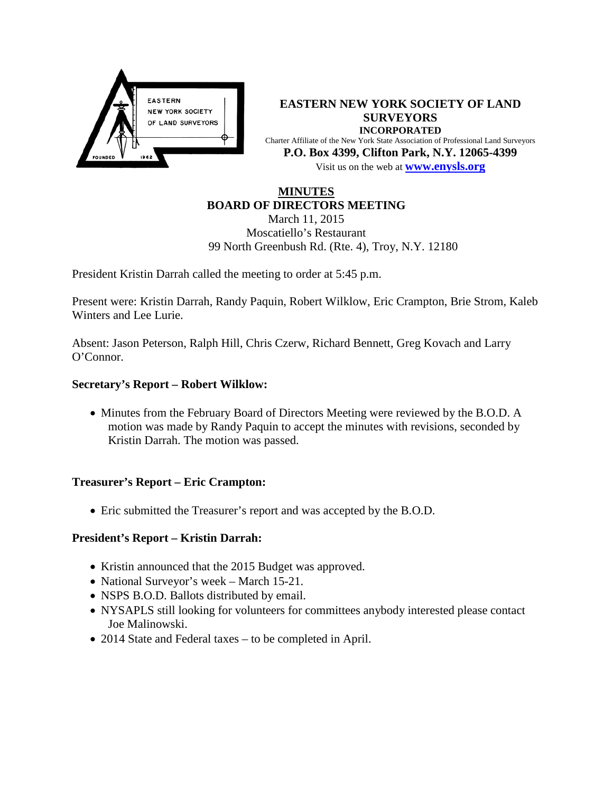

**EASTERN NEW YORK SOCIETY OF LAND SURVEYORS INCORPORATED** Charter Affiliate of the New York State Association of Professional Land Surveyors **P.O. Box 4399, Clifton Park, N.Y. 12065-4399** Visit us on the web at **[www.e](http://www.enysls.org/)nysls.org**

# **MINUTES BOARD OF DIRECTORS MEETING**

March 11, 2015 Moscatiello's Restaurant 99 North Greenbush Rd. (Rte. 4), Troy, N.Y. 12180

President Kristin Darrah called the meeting to order at 5:45 p.m.

Present were: Kristin Darrah, Randy Paquin, Robert Wilklow, Eric Crampton, Brie Strom, Kaleb Winters and Lee Lurie.

Absent: Jason Peterson, Ralph Hill, Chris Czerw, Richard Bennett, Greg Kovach and Larry O'Connor.

# **Secretary's Report – Robert Wilklow:**

• Minutes from the February Board of Directors Meeting were reviewed by the B.O.D. A motion was made by Randy Paquin to accept the minutes with revisions, seconded by Kristin Darrah. The motion was passed.

#### **Treasurer's Report – Eric Crampton:**

• Eric submitted the Treasurer's report and was accepted by the B.O.D.

# **President's Report – Kristin Darrah:**

- Kristin announced that the 2015 Budget was approved.
- National Surveyor's week March 15-21.
- NSPS B.O.D. Ballots distributed by email.
- NYSAPLS still looking for volunteers for committees anybody interested please contact Joe Malinowski.
- 2014 State and Federal taxes to be completed in April.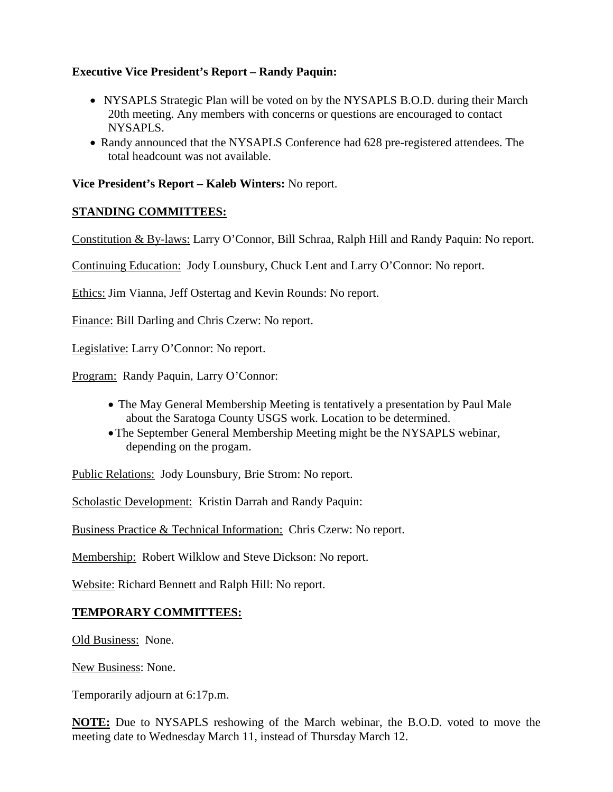# **Executive Vice President's Report – Randy Paquin:**

- NYSAPLS Strategic Plan will be voted on by the NYSAPLS B.O.D. during their March 20th meeting. Any members with concerns or questions are encouraged to contact NYSAPLS.
- Randy announced that the NYSAPLS Conference had 628 pre-registered attendees. The total headcount was not available.

### **Vice President's Report – Kaleb Winters:** No report.

### **STANDING COMMITTEES:**

Constitution & By-laws: Larry O'Connor, Bill Schraa, Ralph Hill and Randy Paquin: No report.

Continuing Education: Jody Lounsbury, Chuck Lent and Larry O'Connor: No report.

Ethics: Jim Vianna, Jeff Ostertag and Kevin Rounds: No report.

Finance: Bill Darling and Chris Czerw: No report.

Legislative: Larry O'Connor: No report.

Program: Randy Paquin, Larry O'Connor:

- The May General Membership Meeting is tentatively a presentation by Paul Male about the Saratoga County USGS work. Location to be determined.
- •The September General Membership Meeting might be the NYSAPLS webinar, depending on the progam.

Public Relations: Jody Lounsbury, Brie Strom: No report.

Scholastic Development: Kristin Darrah and Randy Paquin:

Business Practice & Technical Information: Chris Czerw: No report.

Membership: Robert Wilklow and Steve Dickson: No report.

Website: Richard Bennett and Ralph Hill: No report.

#### **TEMPORARY COMMITTEES:**

Old Business: None.

New Business: None.

Temporarily adjourn at 6:17p.m.

**NOTE:** Due to NYSAPLS reshowing of the March webinar, the B.O.D. voted to move the meeting date to Wednesday March 11, instead of Thursday March 12.